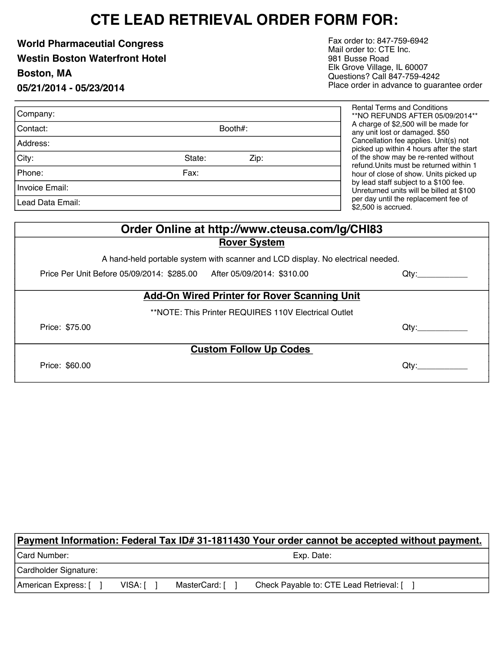# **CTE LEAD RETRIEVAL ORDER FORM FOR:**

**World Pharmaceutial Congress Westin Boston Waterfront Hotel Boston, MA 05/21/2014 - 05/23/2014**

Fax order to: 847-759-6942 Mail order to: CTE Inc. 981 Busse Road Elk Grove Village, IL 60007 Questions? Call 847-759-4242 Place order in advance to guarantee order

| Company:         |                |  |  |
|------------------|----------------|--|--|
| Contact:         | Booth#:        |  |  |
| Address:         |                |  |  |
| City:            | State:<br>Zip: |  |  |
| Phone:           | Fax:           |  |  |
| Invoice Email:   |                |  |  |
| Lead Data Email: |                |  |  |

ntal Terms and Conditions \*\*NO REFUNDS AFTER 05/09/2014\*\* charge of \$2,500 will be made for y unit lost or damaged. \$50 ncellation fee applies. Unit(s) not ked up within 4 hours after the start the show may be re-rented without und.Units must be returned within 1 ur of close of show. Units picked up lead staff subject to a \$100 fee. returned units will be billed at \$100 day until the replacement fee of ,500 is accrued.

| Order Online at http://www.cteusa.com/lg/CHI83                                  |  |      |  |  |  |  |
|---------------------------------------------------------------------------------|--|------|--|--|--|--|
| <b>Rover System</b>                                                             |  |      |  |  |  |  |
| A hand-held portable system with scanner and LCD display. No electrical needed. |  |      |  |  |  |  |
| Price Per Unit Before 05/09/2014: \$285.00 After 05/09/2014: \$310.00           |  | Qtv: |  |  |  |  |
| <b>Add-On Wired Printer for Rover Scanning Unit</b>                             |  |      |  |  |  |  |
| **NOTE: This Printer REQUIRES 110V Electrical Outlet                            |  |      |  |  |  |  |
| Price: \$75.00                                                                  |  | Qtv: |  |  |  |  |
| <b>Custom Follow Up Codes</b>                                                   |  |      |  |  |  |  |
| Price: \$60.00                                                                  |  | Qtv: |  |  |  |  |

|                       |         |               | Payment Information: Federal Tax ID# 31-1811430 Your order cannot be accepted without payment. |  |
|-----------------------|---------|---------------|------------------------------------------------------------------------------------------------|--|
| Card Number:          |         | Exp. Date:    |                                                                                                |  |
| Cardholder Signature: |         |               |                                                                                                |  |
| American Express: [   | VISA: I | MasterCard: [ | Check Payable to: CTE Lead Retrieval: [ ]                                                      |  |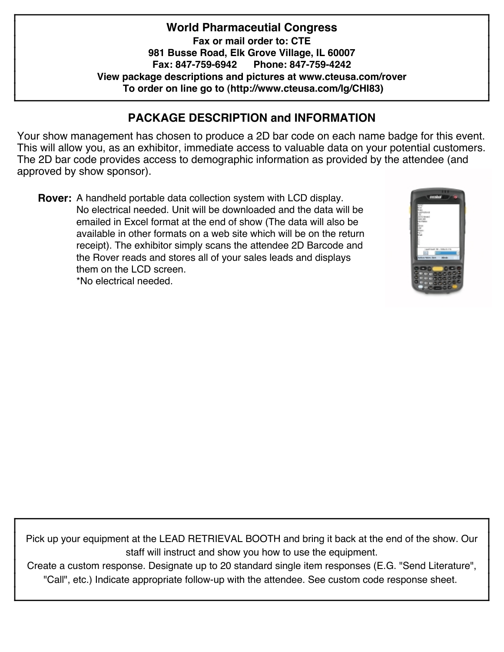**World Pharmaceutial Congress Fax or mail order to: CTE 981 Busse Road, Elk Grove Village, IL 60007 Fax: 847-759-6942 Phone: 847-759-4242 View package descriptions and pictures at www.cteusa.com/rover To order on line go to (http://www.cteusa.com/lg/CHI83)**

### **PACKAGE DESCRIPTION and INFORMATION**

Your show management has chosen to produce a 2D bar code on each name badge for this event. This will allow you, as an exhibitor, immediate access to valuable data on your potential customers. The 2D bar code provides access to demographic information as provided by the attendee (and approved by show sponsor).

**Rover:** A handheld portable data collection system with LCD display. No electrical needed. Unit will be downloaded and the data will be emailed in Excel format at the end of show (The data will also be available in other formats on a web site which will be on the return receipt). The exhibitor simply scans the attendee 2D Barcode and the Rover reads and stores all of your sales leads and displays them on the LCD screen. \*No electrical needed.



Pick up your equipment at the LEAD RETRIEVAL BOOTH and bring it back at the end of the show. Our staff will instruct and show you how to use the equipment.

Create a custom response. Designate up to 20 standard single item responses (E.G. "Send Literature" , "Call" , etc.) Indicate appropriate follow-up with the attendee. See custom code response sheet.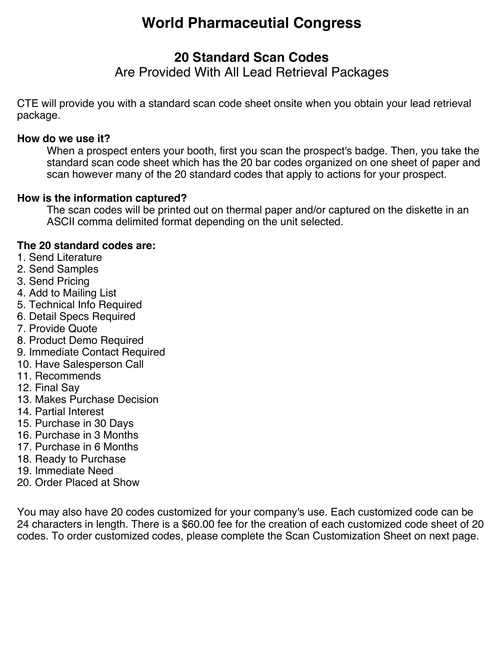# **World Pharmaceutial Congress**

### **20 Standard Scan Codes**

Are Provided With All Lead Retrieval Packages

CTE will provide you with a standard scan code sheet onsite when you obtain your lead retrieval package.

#### **How do we use it?**

When a prospect enters your booth, first you scan the prospect's badge. Then, you take the standard scan code sheet which has the 20 bar codes organized on one sheet of paper and scan however many of the 20 standard codes that apply to actions for your prospect.

### **How is the information captured?**

The scan codes will be printed out on thermal paper and/or captured on the diskette in an ASCII comma delimited format depending on the unit selected.

### **The 20 standard codes are:**

- 1. Send Literature
- 2. Send Samples
- 3. Send Pricing
- 4. Add to Mailing List
- 5. Technical Info Required
- 6. Detail Specs Required
- 7. Provide Quote
- 8. Product Demo Required
- 9. Immediate Contact Required
- 10. Have Salesperson Call
- 11. Recommends
- 12. Final Say
- 13. Makes Purchase Decision
- 14. Partial Interest
- 15. Purchase in 30 Days
- 16. Purchase in 3 Months
- 17. Purchase in 6 Months
- 18. Ready to Purchase
- 19. Immediate Need
- 20. Order Placed at Show

You may also have 20 codes customized for your company's use. Each customized code can be 24 characters in length. There is a \$60.00 fee for the creation of each customized code sheet of 20 codes. To order customized codes, please complete the Scan Customization Sheet on next page.